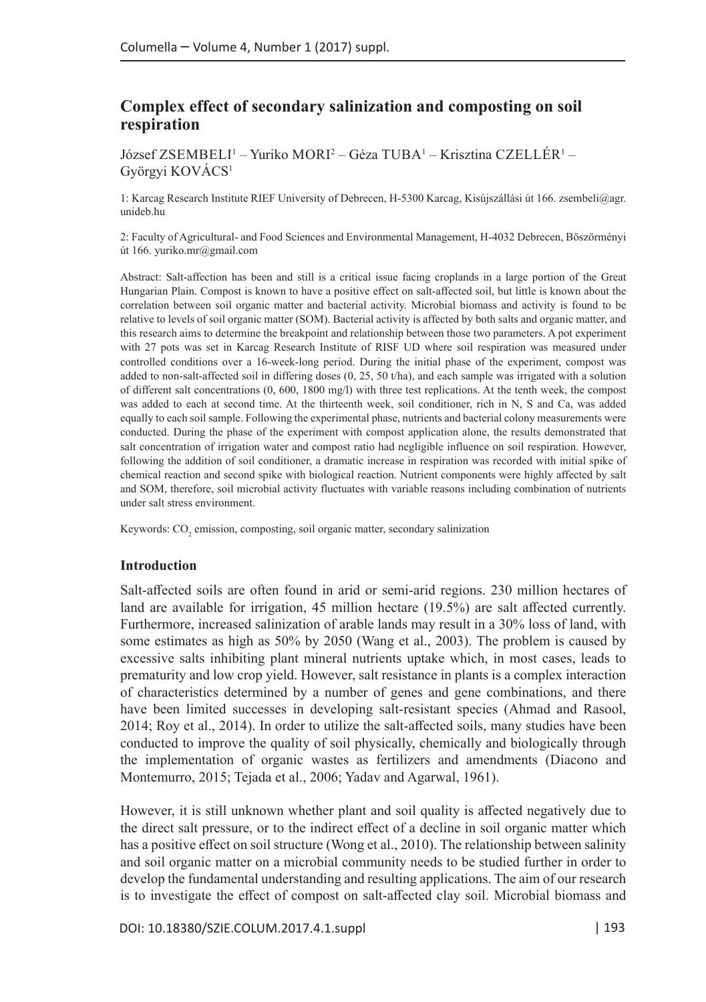# **Complex effect of secondary salinization and composting on soil respiration**

József ZSEMBELI<sup>1</sup> – Yuriko MORI<sup>2</sup> – Géza TUBA<sup>1</sup> – Krisztina CZELLÉR<sup>1</sup> – Györgyi KOVÁCS1

1: Karcag Research Institute RIEF University of Debrecen, H-5300 Karcag, Kisújszállási út 166. zsembeli@agr. unideb.hu

2: Faculty of Agricultural- and Food Sciences and Environmental Management, H-4032 Debrecen, Böszörményi út 166. yuriko.mr@gmail.com

Abstract: Salt-affection has been and still is a critical issue facing croplands in a large portion of the Great Hungarian Plain. Compost is known to have a positive effect on salt-affected soil, but little is known about the correlation between soil organic matter and bacterial activity. Microbial biomass and activity is found to be relative to levels of soil organic matter (SOM). Bacterial activity is affected by both salts and organic matter, and this research aims to determine the breakpoint and relationship between those two parameters. A pot experiment with 27 pots was set in Karcag Research Institute of RISF UD where soil respiration was measured under controlled conditions over a 16-week-long period. During the initial phase of the experiment, compost was added to non-salt-affected soil in differing doses (0, 25, 50 t/ha), and each sample was irrigated with a solution of different salt concentrations (0, 600, 1800 mg/l) with three test replications. At the tenth week, the compost was added to each at second time. At the thirteenth week, soil conditioner, rich in N, S and Ca, was added equally to each soil sample. Following the experimental phase, nutrients and bacterial colony measurements were conducted. During the phase of the experiment with compost application alone, the results demonstrated that salt concentration of irrigation water and compost ratio had negligible influence on soil respiration. However, following the addition of soil conditioner, a dramatic increase in respiration was recorded with initial spike of chemical reaction and second spike with biological reaction. Nutrient components were highly affected by salt and SOM, therefore, soil microbial activity fluctuates with variable reasons including combination of nutrients under salt stress environment.

Keywords:  $\mathrm{CO}_2$  emission, composting, soil organic matter, secondary salinization

## **Introduction**

Salt-affected soils are often found in arid or semi-arid regions. 230 million hectares of land are available for irrigation, 45 million hectare (19.5%) are salt affected currently. Furthermore, increased salinization of arable lands may result in a 30% loss of land, with some estimates as high as 50% by 2050 (Wang et al., 2003). The problem is caused by excessive salts inhibiting plant mineral nutrients uptake which, in most cases, leads to prematurity and low crop yield. However, salt resistance in plants is a complex interaction of characteristics determined by a number of genes and gene combinations, and there have been limited successes in developing salt-resistant species (Ahmad and Rasool, 2014; Roy et al., 2014). In order to utilize the salt-affected soils, many studies have been conducted to improve the quality of soil physically, chemically and biologically through the implementation of organic wastes as fertilizers and amendments (Diacono and Montemurro, 2015; Tejada et al., 2006; Yadav and Agarwal, 1961).

However, it is still unknown whether plant and soil quality is affected negatively due to the direct salt pressure, or to the indirect effect of a decline in soil organic matter which has a positive effect on soil structure (Wong et al., 2010). The relationship between salinity and soil organic matter on a microbial community needs to be studied further in order to develop the fundamental understanding and resulting applications. The aim of our research is to investigate the effect of compost on salt-affected clay soil. Microbial biomass and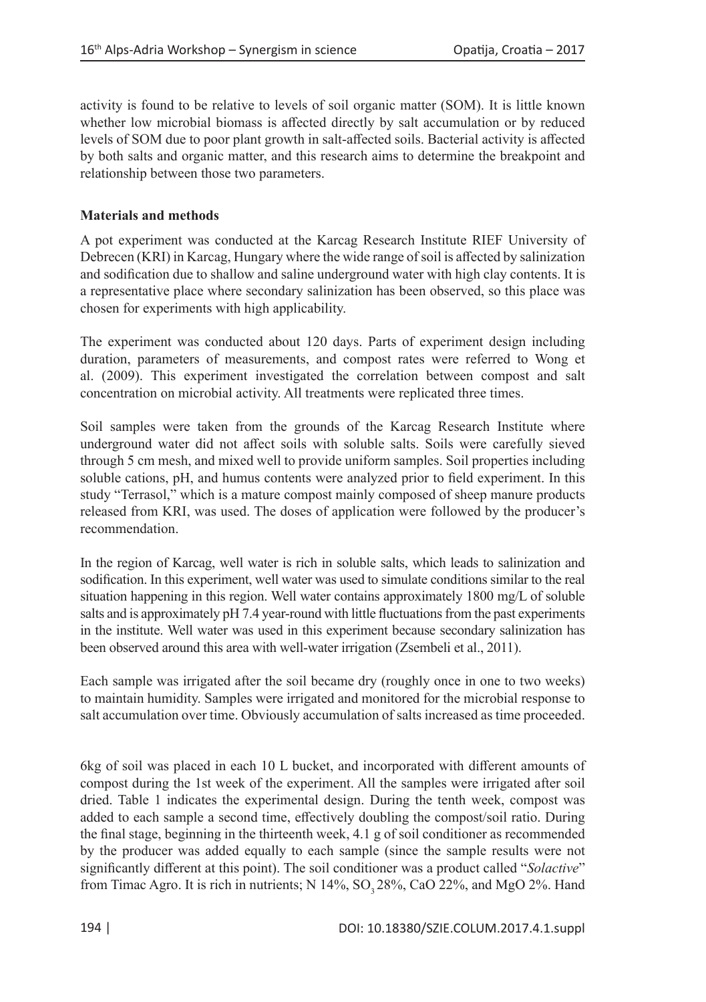activity is found to be relative to levels of soil organic matter (SOM). It is little known whether low microbial biomass is affected directly by salt accumulation or by reduced levels of SOM due to poor plant growth in salt-affected soils. Bacterial activity is affected by both salts and organic matter, and this research aims to determine the breakpoint and relationship between those two parameters.

# **Materials and methods**

A pot experiment was conducted at the Karcag Research Institute RIEF University of Debrecen (KRI) in Karcag, Hungary where the wide range of soil is affected by salinization and sodification due to shallow and saline underground water with high clay contents. It is a representative place where secondary salinization has been observed, so this place was chosen for experiments with high applicability.

The experiment was conducted about 120 days. Parts of experiment design including duration, parameters of measurements, and compost rates were referred to Wong et al. (2009). This experiment investigated the correlation between compost and salt concentration on microbial activity. All treatments were replicated three times.

Soil samples were taken from the grounds of the Karcag Research Institute where underground water did not affect soils with soluble salts. Soils were carefully sieved through 5 cm mesh, and mixed well to provide uniform samples. Soil properties including soluble cations, pH, and humus contents were analyzed prior to field experiment. In this study "Terrasol," which is a mature compost mainly composed of sheep manure products released from KRI, was used. The doses of application were followed by the producer's recommendation.

In the region of Karcag, well water is rich in soluble salts, which leads to salinization and sodification. In this experiment, well water was used to simulate conditions similar to the real situation happening in this region. Well water contains approximately 1800 mg/L of soluble salts and is approximately pH 7.4 year-round with little fluctuations from the past experiments in the institute. Well water was used in this experiment because secondary salinization has been observed around this area with well-water irrigation (Zsembeli et al., 2011).

Each sample was irrigated after the soil became dry (roughly once in one to two weeks) to maintain humidity. Samples were irrigated and monitored for the microbial response to salt accumulation over time. Obviously accumulation of salts increased as time proceeded.

6kg of soil was placed in each 10 L bucket, and incorporated with different amounts of compost during the 1st week of the experiment. All the samples were irrigated after soil dried. Table 1 indicates the experimental design. During the tenth week, compost was added to each sample a second time, effectively doubling the compost/soil ratio. During the final stage, beginning in the thirteenth week, 4.1 g of soil conditioner as recommended by the producer was added equally to each sample (since the sample results were not significantly different at this point). The soil conditioner was a product called "*Solactive*" from Timac Agro. It is rich in nutrients; N  $14\%$ , SO, 28%, CaO 22%, and MgO 2%. Hand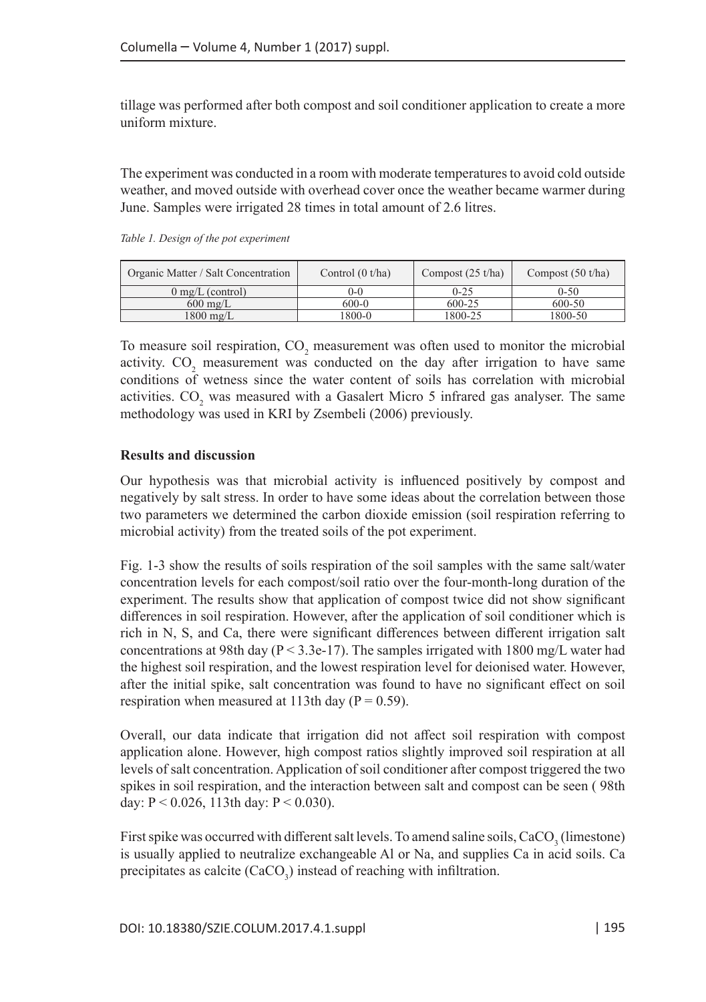tillage was performed after both compost and soil conditioner application to create a more uniform mixture.

The experiment was conducted in a room with moderate temperatures to avoid cold outside weather, and moved outside with overhead cover once the weather became warmer during June. Samples were irrigated 28 times in total amount of 2.6 litres.

| Organic Matter / Salt Concentration | Control $(0 t/ha)$ | Compost $(25 t/ha)$ | Compost $(50 t/ha)$ |
|-------------------------------------|--------------------|---------------------|---------------------|
| $0 \text{ mg/L}$ (control)          | $()$ - $()$        | $0 - 25$            | $0 - 50$            |
| $600 \text{ mg/L}$                  | 600-0              | 600-25              | 600-50              |
| $1800 \text{ mg/L}$                 | 1800-0             | 1800-25             | 1800-50             |

*Table 1. Design of the pot experiment*

To measure soil respiration,  $CO_2$  measurement was often used to monitor the microbial activity.  $CO<sub>2</sub>$  measurement was conducted on the day after irrigation to have same conditions of wetness since the water content of soils has correlation with microbial activities.  $CO_2$  was measured with a Gasalert Micro 5 infrared gas analyser. The same methodology was used in KRI by Zsembeli (2006) previously.

## **Results and discussion**

Our hypothesis was that microbial activity is influenced positively by compost and negatively by salt stress. In order to have some ideas about the correlation between those two parameters we determined the carbon dioxide emission (soil respiration referring to microbial activity) from the treated soils of the pot experiment.

Fig. 1-3 show the results of soils respiration of the soil samples with the same salt/water concentration levels for each compost/soil ratio over the four-month-long duration of the experiment. The results show that application of compost twice did not show significant differences in soil respiration. However, after the application of soil conditioner which is rich in N, S, and Ca, there were significant differences between different irrigation salt concentrations at 98th day ( $P < 3.3e-17$ ). The samples irrigated with 1800 mg/L water had the highest soil respiration, and the lowest respiration level for deionised water. However, after the initial spike, salt concentration was found to have no significant effect on soil respiration when measured at 113th day ( $P = 0.59$ ).

Overall, our data indicate that irrigation did not affect soil respiration with compost application alone. However, high compost ratios slightly improved soil respiration at all levels of salt concentration. Application of soil conditioner after compost triggered the two spikes in soil respiration, and the interaction between salt and compost can be seen ( 98th day: P < 0.026, 113th day: P < 0.030).

First spike was occurred with different salt levels. To amend saline soils,  $\rm CaCO_3^-(lì$ is usually applied to neutralize exchangeable Al or Na, and supplies Ca in acid soils. Ca precipitates as calcite  $(CaCO_3)$  instead of reaching with infiltration.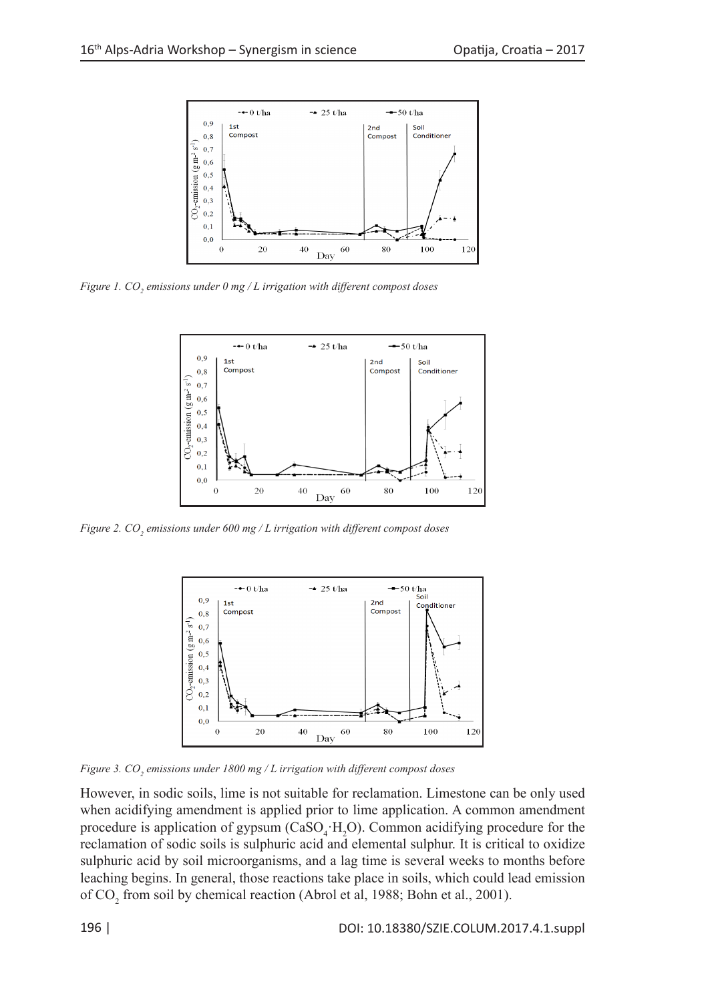

*Figure 1. CO2 emissions under 0 mg / L irrigation with different compost doses*



*Figure 2. CO2 emissions under 600 mg / L irrigation with different compost doses*



*Figure 3. CO<sub>2</sub> emissions under 1800 mg / L irrigation with different compost doses* 

However, in sodic soils, lime is not suitable for reclamation. Limestone can be only used when acidifying amendment is applied prior to lime application. A common amendment procedure is application of gypsum ( $CaSO_4$ · $H_2O$ ). Common acidifying procedure for the reclamation of sodic soils is sulphuric acid and elemental sulphur. It is critical to oxidize sulphuric acid by soil microorganisms, and a lag time is several weeks to months before leaching begins. In general, those reactions take place in soils, which could lead emission of  $\text{CO}_2$  from soil by chemical reaction (Abrol et al, 1988; Bohn et al., 2001).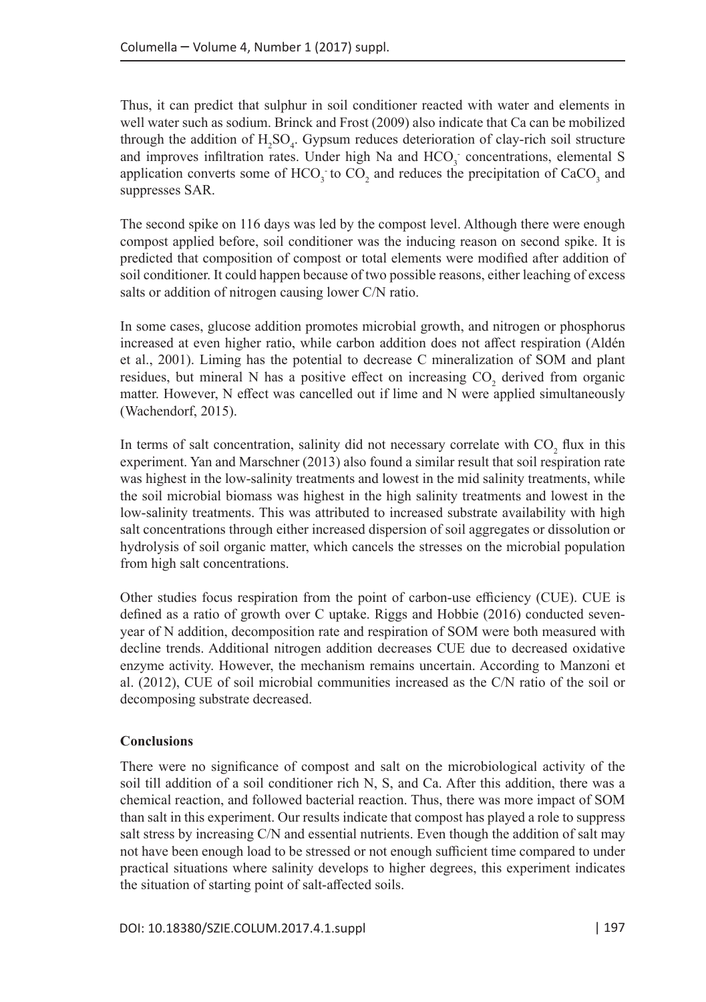Thus, it can predict that sulphur in soil conditioner reacted with water and elements in well water such as sodium. Brinck and Frost (2009) also indicate that Ca can be mobilized through the addition of  $H_2SO_4$ . Gypsum reduces deterioration of clay-rich soil structure and improves infiltration rates. Under high Na and  $HCO<sub>3</sub>$  concentrations, elemental S application converts some of  $HCO_3$  to  $CO_2$  and reduces the precipitation of  $CaCO_3$  and suppresses SAR.

The second spike on 116 days was led by the compost level. Although there were enough compost applied before, soil conditioner was the inducing reason on second spike. It is predicted that composition of compost or total elements were modified after addition of soil conditioner. It could happen because of two possible reasons, either leaching of excess salts or addition of nitrogen causing lower C/N ratio.

In some cases, glucose addition promotes microbial growth, and nitrogen or phosphorus increased at even higher ratio, while carbon addition does not affect respiration (Aldén et al., 2001). Liming has the potential to decrease C mineralization of SOM and plant residues, but mineral N has a positive effect on increasing  $CO_2$  derived from organic matter. However, N effect was cancelled out if lime and N were applied simultaneously (Wachendorf, 2015).

In terms of salt concentration, salinity did not necessary correlate with  $CO_2$  flux in this experiment. Yan and Marschner (2013) also found a similar result that soil respiration rate was highest in the low-salinity treatments and lowest in the mid salinity treatments, while the soil microbial biomass was highest in the high salinity treatments and lowest in the low-salinity treatments. This was attributed to increased substrate availability with high salt concentrations through either increased dispersion of soil aggregates or dissolution or hydrolysis of soil organic matter, which cancels the stresses on the microbial population from high salt concentrations.

Other studies focus respiration from the point of carbon-use efficiency (CUE). CUE is defined as a ratio of growth over C uptake. Riggs and Hobbie (2016) conducted sevenyear of N addition, decomposition rate and respiration of SOM were both measured with decline trends. Additional nitrogen addition decreases CUE due to decreased oxidative enzyme activity. However, the mechanism remains uncertain. According to Manzoni et al. (2012), CUE of soil microbial communities increased as the C/N ratio of the soil or decomposing substrate decreased.

# **Conclusions**

There were no significance of compost and salt on the microbiological activity of the soil till addition of a soil conditioner rich N, S, and Ca. After this addition, there was a chemical reaction, and followed bacterial reaction. Thus, there was more impact of SOM than salt in this experiment. Our results indicate that compost has played a role to suppress salt stress by increasing C/N and essential nutrients. Even though the addition of salt may not have been enough load to be stressed or not enough sufficient time compared to under practical situations where salinity develops to higher degrees, this experiment indicates the situation of starting point of salt-affected soils.